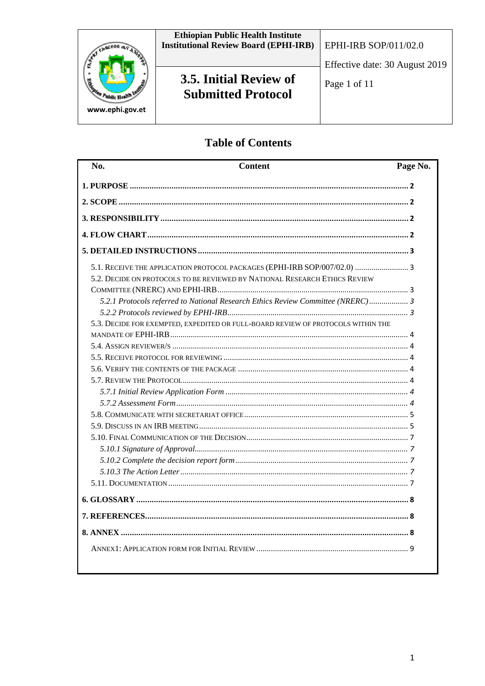

# **Table of Contents**

| No. | <b>Content</b>                                                                   | Page No. |
|-----|----------------------------------------------------------------------------------|----------|
|     |                                                                                  |          |
|     |                                                                                  |          |
|     |                                                                                  |          |
|     |                                                                                  |          |
|     |                                                                                  |          |
|     | 5.1. RECEIVE THE APPLICATION PROTOCOL PACKAGES (EPHI-IRB SOP/007/02.0)  3        |          |
|     | 5.2. DECIDE ON PROTOCOLS TO BE REVIEWED BY NATIONAL RESEARCH ETHICS REVIEW       |          |
|     | 5.2.1 Protocols referred to National Research Ethics Review Committee (NRERC) 3  |          |
|     |                                                                                  |          |
|     | 5.3. DECIDE FOR EXEMPTED, EXPEDITED OR FULL-BOARD REVIEW OF PROTOCOLS WITHIN THE |          |
|     |                                                                                  |          |
|     |                                                                                  |          |
|     |                                                                                  |          |
|     |                                                                                  |          |
|     |                                                                                  |          |
|     |                                                                                  |          |
|     |                                                                                  |          |
|     |                                                                                  |          |
|     |                                                                                  |          |
|     |                                                                                  |          |
|     |                                                                                  |          |
|     |                                                                                  |          |
|     |                                                                                  |          |
|     |                                                                                  |          |
|     |                                                                                  |          |
|     |                                                                                  |          |
|     |                                                                                  |          |
|     |                                                                                  |          |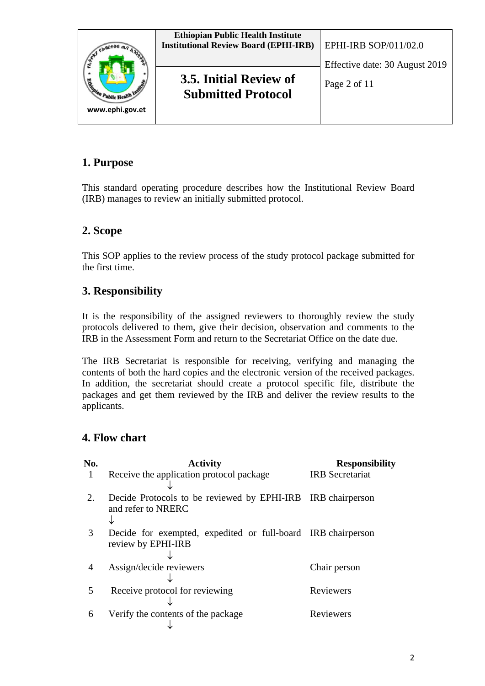

## **1. Purpose**

This standard operating procedure describes how the Institutional Review Board (IRB) manages to review an initially submitted protocol.

# **2. Scope**

This SOP applies to the review process of the study protocol package submitted for the first time.

# **3. Responsibility**

It is the responsibility of the assigned reviewers to thoroughly review the study protocols delivered to them, give their decision, observation and comments to the IRB in the Assessment Form and return to the Secretariat Office on the date due.

The IRB Secretariat is responsible for receiving, verifying and managing the contents of both the hard copies and the electronic version of the received packages. In addition, the secretariat should create a protocol specific file, distribute the packages and get them reviewed by the IRB and deliver the review results to the applicants.

## **4. Flow chart**

| No. | <b>Activity</b>                                                                    | <b>Responsibility</b>  |
|-----|------------------------------------------------------------------------------------|------------------------|
|     | Receive the application protocol package                                           | <b>IRB</b> Secretariat |
| 2.  | Decide Protocols to be reviewed by EPHI-IRB IRB chairperson<br>and refer to NRERC  |                        |
| 3   | Decide for exempted, expedited or full-board IRB chairperson<br>review by EPHI-IRB |                        |
| 4   | Assign/decide reviewers                                                            | Chair person           |
| 5   | Receive protocol for reviewing                                                     | Reviewers              |
| 6   | Verify the contents of the package                                                 | Reviewers              |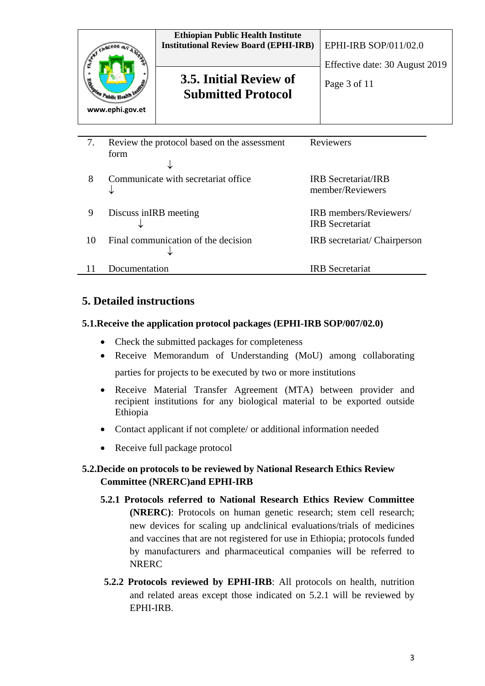| Signian Public Health<br>www.ephi.gov.et                 | <b>Ethiopian Public Health Institute</b><br><b>Institutional Review Board (EPHI-IRB)</b><br>3.5. Initial Review of<br><b>Submitted Protocol</b> | EPHI-IRB SOP/011/02.0<br>Effective date: 30 August 2019<br>Page 3 of 11 |  |
|----------------------------------------------------------|-------------------------------------------------------------------------------------------------------------------------------------------------|-------------------------------------------------------------------------|--|
| Reviewers<br>Review the protocol based on the assessment |                                                                                                                                                 |                                                                         |  |

|    | form                                |                                                        |
|----|-------------------------------------|--------------------------------------------------------|
| 8  | Communicate with secretariat office | <b>IRB</b> Secretariat/ <b>IRB</b><br>member/Reviewers |
| 9  | Discuss in IRB meeting              | IRB members/Reviewers/<br><b>IRB</b> Secretariat       |
| 10 | Final communication of the decision | IRB secretariat/ Chairperson                           |
|    | Documentation                       | <b>IRB</b> Secretariat                                 |

## **5. Detailed instructions**

#### **5.1.Receive the application protocol packages (EPHI-IRB SOP/007/02.0)**

- Check the submitted packages for completeness
- Receive Memorandum of Understanding (MoU) among collaborating parties for projects to be executed by two or more institutions
- Receive Material Transfer Agreement (MTA) between provider and recipient institutions for any biological material to be exported outside Ethiopia
- Contact applicant if not complete/ or additional information needed
- Receive full package protocol

## **5.2.Decide on protocols to be reviewed by National Research Ethics Review Committee (NRERC)and EPHI-IRB**

- **5.2.1 Protocols referred to National Research Ethics Review Committee (NRERC)**: Protocols on human genetic research; stem cell research; new devices for scaling up andclinical evaluations/trials of medicines and vaccines that are not registered for use in Ethiopia; protocols funded by manufacturers and pharmaceutical companies will be referred to NRERC
- **5.2.2 Protocols reviewed by EPHI-IRB**: All protocols on health, nutrition and related areas except those indicated on 5.2.1 will be reviewed by EPHI-IRB.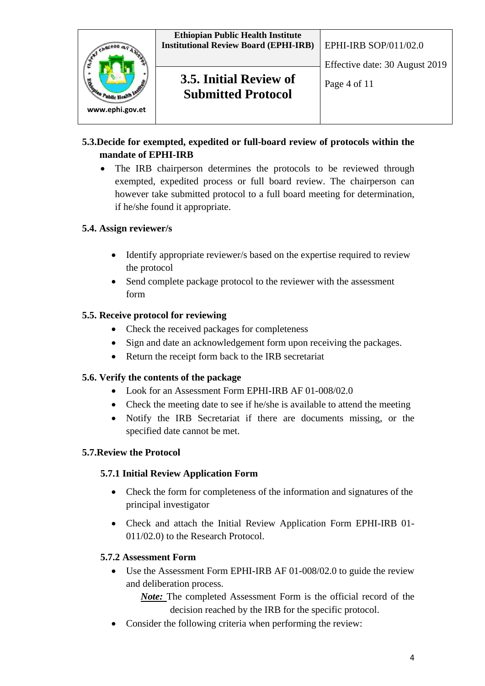

## **5.3.Decide for exempted, expedited or full-board review of protocols within the mandate of EPHI-IRB**

• The IRB chairperson determines the protocols to be reviewed through exempted, expedited process or full board review. The chairperson can however take submitted protocol to a full board meeting for determination, if he/she found it appropriate.

### **5.4. Assign reviewer/s**

- Identify appropriate reviewer/s based on the expertise required to review the protocol
- Send complete package protocol to the reviewer with the assessment form

### **5.5. Receive protocol for reviewing**

- Check the received packages for completeness
- Sign and date an acknowledgement form upon receiving the packages.
- Return the receipt form back to the IRB secretariat

### **5.6. Verify the contents of the package**

- Look for an Assessment Form EPHI-IRB AF 01-008/02.0
- Check the meeting date to see if he/she is available to attend the meeting
- Notify the IRB Secretariat if there are documents missing, or the specified date cannot be met.

### **5.7.Review the Protocol**

### **5.7.1 Initial Review Application Form**

- Check the form for completeness of the information and signatures of the principal investigator
- Check and attach the Initial Review Application Form EPHI-IRB 01- 011/02.0) to the Research Protocol.

### **5.7.2 Assessment Form**

• Use the Assessment Form EPHI-IRB AF 01-008/02.0 to guide the review and deliberation process.

*Note:* The completed Assessment Form is the official record of the decision reached by the IRB for the specific protocol.

• Consider the following criteria when performing the review: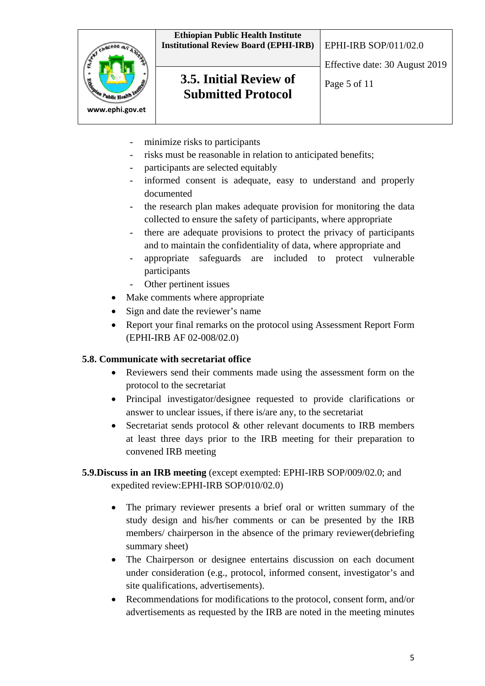

- minimize risks to participants
- risks must be reasonable in relation to anticipated benefits;
- participants are selected equitably
- informed consent is adequate, easy to understand and properly documented
- the research plan makes adequate provision for monitoring the data collected to ensure the safety of participants, where appropriate
- there are adequate provisions to protect the privacy of participants and to maintain the confidentiality of data, where appropriate and
- appropriate safeguards are included to protect vulnerable participants
- Other pertinent issues
- Make comments where appropriate
- Sign and date the reviewer's name
- Report your final remarks on the protocol using Assessment Report Form (EPHI-IRB AF 02-008/02.0)

#### **5.8. Communicate with secretariat office**

- Reviewers send their comments made using the assessment form on the protocol to the secretariat
- Principal investigator/designee requested to provide clarifications or answer to unclear issues, if there is/are any, to the secretariat
- Secretariat sends protocol  $\&$  other relevant documents to IRB members at least three days prior to the IRB meeting for their preparation to convened IRB meeting

### **5.9.Discuss in an IRB meeting** (except exempted: EPHI-IRB SOP/009/02.0; and expedited review:EPHI-IRB SOP/010/02.0)

- The primary reviewer presents a brief oral or written summary of the study design and his/her comments or can be presented by the IRB members/ chairperson in the absence of the primary reviewer(debriefing summary sheet)
- The Chairperson or designee entertains discussion on each document under consideration (e.g., protocol, informed consent, investigator's and site qualifications, advertisements).
- Recommendations for modifications to the protocol, consent form, and/or advertisements as requested by the IRB are noted in the meeting minutes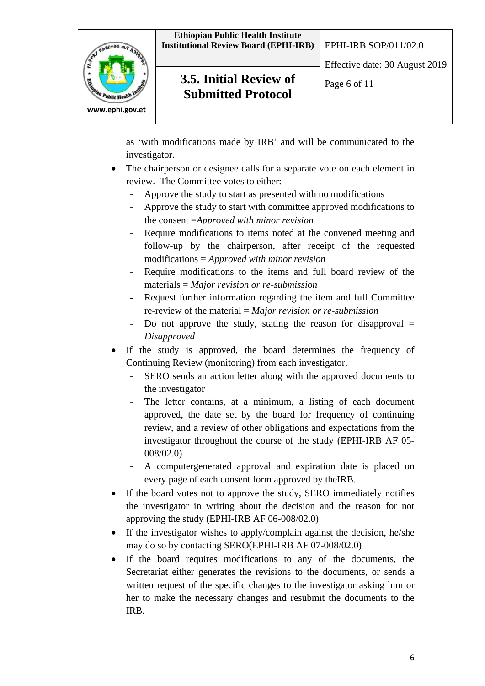



**3.5. Initial Review of**  $\left[\begin{array}{c} \mathsf{Page}\ 6 \text{ of } 11 \end{array}\right]$ **Submitted Protocol**

as 'with modifications made by IRB' and will be communicated to the investigator.

- The chairperson or designee calls for a separate vote on each element in review. The Committee votes to either:
	- Approve the study to start as presented with no modifications
	- Approve the study to start with committee approved modifications to the consent =*Approved with minor revision*
	- Require modifications to items noted at the convened meeting and follow-up by the chairperson, after receipt of the requested modifications = *Approved with minor revision*
	- Require modifications to the items and full board review of the materials = *Major revision or re-submission*
	- Request further information regarding the item and full Committee re-review of the material = *Major revision or re-submission*
	- Do not approve the study, stating the reason for disapproval = *Disapproved*
- If the study is approved, the board determines the frequency of Continuing Review (monitoring) from each investigator.
	- SERO sends an action letter along with the approved documents to the investigator
	- The letter contains, at a minimum, a listing of each document approved, the date set by the board for frequency of continuing review, and a review of other obligations and expectations from the investigator throughout the course of the study (EPHI-IRB AF 05- 008/02.0)
	- A computergenerated approval and expiration date is placed on every page of each consent form approved by theIRB.
- If the board votes not to approve the study, SERO immediately notifies the investigator in writing about the decision and the reason for not approving the study (EPHI-IRB AF 06-008/02.0)
- If the investigator wishes to apply/complain against the decision, he/she may do so by contacting SERO(EPHI-IRB AF 07-008/02.0)
- If the board requires modifications to any of the documents, the Secretariat either generates the revisions to the documents, or sends a written request of the specific changes to the investigator asking him or her to make the necessary changes and resubmit the documents to the IRB.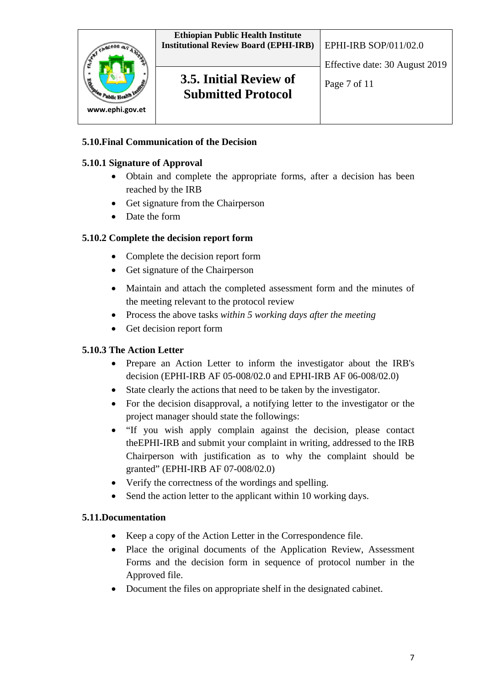

## **5.10.Final Communication of the Decision**

#### **5.10.1 Signature of Approval**

- Obtain and complete the appropriate forms, after a decision has been reached by the IRB
- Get signature from the Chairperson
- Date the form

### **5.10.2 Complete the decision report form**

- Complete the decision report form
- Get signature of the Chairperson
- Maintain and attach the completed assessment form and the minutes of the meeting relevant to the protocol review
- Process the above tasks *within 5 working days after the meeting*
- Get decision report form

#### **5.10.3 The Action Letter**

- Prepare an Action Letter to inform the investigator about the IRB's decision (EPHI-IRB AF 05-008/02.0 and EPHI-IRB AF 06-008/02.0)
- State clearly the actions that need to be taken by the investigator.
- For the decision disapproval, a notifying letter to the investigator or the project manager should state the followings:
- "If you wish apply complain against the decision, please contact theEPHI-IRB and submit your complaint in writing, addressed to the IRB Chairperson with justification as to why the complaint should be granted" (EPHI-IRB AF 07-008/02.0)
- Verify the correctness of the wordings and spelling.
- Send the action letter to the applicant within 10 working days.

#### **5.11.Documentation**

- Keep a copy of the Action Letter in the Correspondence file.
- Place the original documents of the Application Review, Assessment Forms and the decision form in sequence of protocol number in the Approved file.
- Document the files on appropriate shelf in the designated cabinet.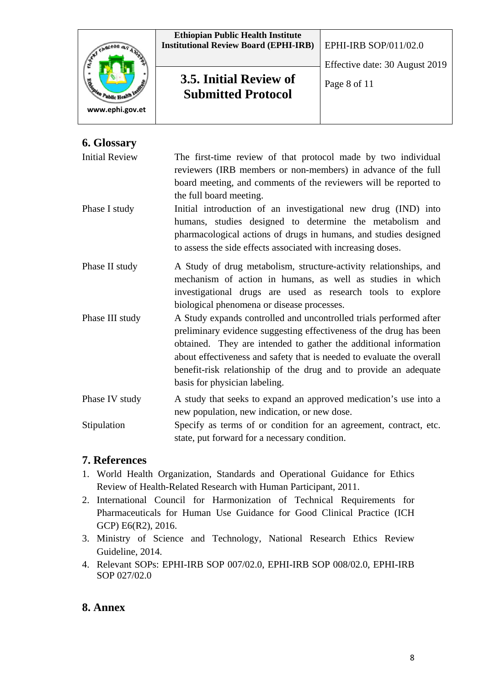

## **6. Glossary**

Initial Review The first-time review of that protocol made by two individual reviewers (IRB members or non-members) in advance of the full board meeting, and comments of the reviewers will be reported to the full board meeting.

- Phase I study Initial introduction of an investigational new drug (IND) into humans, studies designed to determine the metabolism and pharmacological actions of drugs in humans, and studies designed to assess the side effects associated with increasing doses.
- Phase II study A Study of drug metabolism, structure-activity relationships, and mechanism of action in humans, as well as studies in which investigational drugs are used as research tools to explore biological phenomena or disease processes.
- Phase III study A Study expands controlled and uncontrolled trials performed after preliminary evidence suggesting effectiveness of the drug has been obtained. They are intended to gather the additional information about effectiveness and safety that is needed to evaluate the overall benefit-risk relationship of the drug and to provide an adequate basis for physician labeling.

Phase IV study A study that seeks to expand an approved medication's use into a new population, new indication, or new dose.

Stipulation Specify as terms of or condition for an agreement, contract, etc. state, put forward for a necessary condition.

### **7. References**

- 1. World Health Organization, Standards and Operational Guidance for Ethics Review of Health-Related Research with Human Participant, 2011.
- 2. International Council for Harmonization of Technical Requirements for Pharmaceuticals for Human Use Guidance for Good Clinical Practice (ICH GCP) E6(R2), 2016.
- 3. Ministry of Science and Technology, National Research Ethics Review Guideline, 2014.
- 4. Relevant SOPs: EPHI-IRB SOP 007/02.0, EPHI-IRB SOP 008/02.0, EPHI-IRB SOP 027/02.0

## **8. Annex**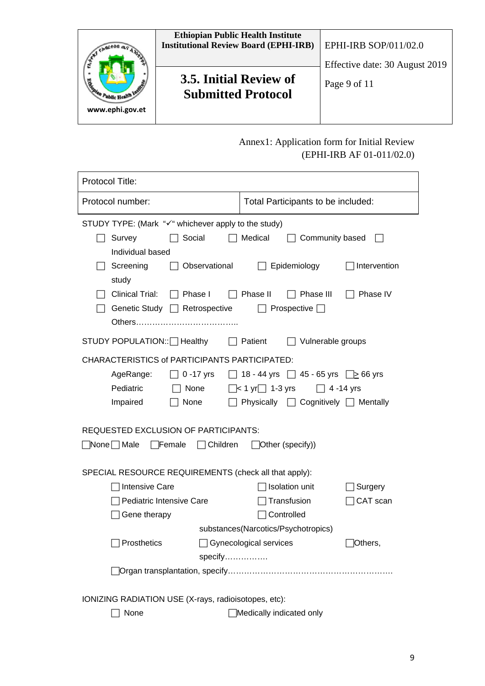

# Annex1: Application form for Initial Review (EPHI-IRB AF 01-011/02.0)

| Protocol Title:                                                                                                               |                                                  |          |  |  |  |
|-------------------------------------------------------------------------------------------------------------------------------|--------------------------------------------------|----------|--|--|--|
| Protocol number:                                                                                                              | Total Participants to be included:               |          |  |  |  |
| STUDY TYPE: (Mark "√" whichever apply to the study)                                                                           |                                                  |          |  |  |  |
| Survey<br>Social<br>Individual based                                                                                          | Medical<br>Community based                       |          |  |  |  |
| Observational<br>Screening<br>study                                                                                           | Intervention<br>Epidemiology                     |          |  |  |  |
| <b>Clinical Trial:</b><br>Phase II<br>Phase I<br>Phase III<br>Phase IV<br>Genetic Study □ Retrospective<br>Prospective $\Box$ |                                                  |          |  |  |  |
| STUDY POPULATION::   Healthy                                                                                                  | Patient<br>Vulnerable groups                     |          |  |  |  |
| <b>CHARACTERISTICS of PARTICIPANTS PARTICIPATED:</b>                                                                          |                                                  |          |  |  |  |
| AgeRange:<br>$0 - 17$ yrs                                                                                                     | 18 - 44 yrs $\[\]$ 45 - 65 yrs $\[\]$ 66 yrs     |          |  |  |  |
| Pediatric<br>None                                                                                                             | $\Box$ < 1 yr $\Box$ 1-3 yrs<br>$\Box$ 4 -14 yrs |          |  |  |  |
| Impaired<br>None                                                                                                              | Physically $\Box$ Cognitively $\Box$ Mentally    |          |  |  |  |
| <b>REQUESTED EXCLUSION OF PARTICIPANTS:</b>                                                                                   |                                                  |          |  |  |  |
| None □ Male<br>$\Box$ Female<br>$\Box$ Children                                                                               | $\Box$ Other (specify))                          |          |  |  |  |
| SPECIAL RESOURCE REQUIREMENTS (check all that apply):                                                                         |                                                  |          |  |  |  |
| <b>Intensive Care</b>                                                                                                         | <b>Isolation unit</b>                            | Surgery  |  |  |  |
| Pediatric Intensive Care                                                                                                      | Transfusion                                      | CAT scan |  |  |  |
| Gene therapy                                                                                                                  | Controlled                                       |          |  |  |  |
| substances(Narcotics/Psychotropics)                                                                                           |                                                  |          |  |  |  |
| Prosthetics                                                                                                                   | Gynecological services                           | Others,  |  |  |  |
| specify                                                                                                                       |                                                  |          |  |  |  |
|                                                                                                                               |                                                  |          |  |  |  |
| IONIZING RADIATION USE (X-rays, radioisotopes, etc):                                                                          |                                                  |          |  |  |  |
| None<br>Medically indicated only                                                                                              |                                                  |          |  |  |  |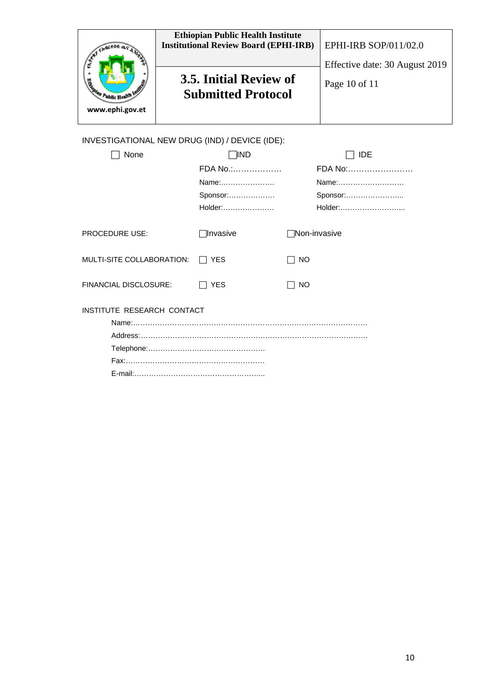| Signal Public Health<br>www.ephi.gov.et        | <b>Ethiopian Public Health Institute</b><br><b>Institutional Review Board (EPHI-IRB)</b><br>3.5. Initial Review of<br><b>Submitted Protocol</b> | <b>EPHI-IRB SOP/011/02.0</b><br>Effective date: 30 August 2019<br>Page 10 of 11 |  |
|------------------------------------------------|-------------------------------------------------------------------------------------------------------------------------------------------------|---------------------------------------------------------------------------------|--|
| INVESTIGATIONAL NEW DRUG (IND) / DEVICE (IDE): |                                                                                                                                                 |                                                                                 |  |

| None                       | 1IND       | <b>IDE</b>          |  |  |
|----------------------------|------------|---------------------|--|--|
|                            | FDA No.:   | FDA No:             |  |  |
|                            | Name:      | Name:               |  |  |
|                            | Sponsor:   | Sponsor:            |  |  |
|                            | Holder:    | Holder:             |  |  |
| <b>PROCEDURE USE:</b>      | ∏Invasive  | <b>Non-invasive</b> |  |  |
| MULTI-SITE COLLABORATION:  | <b>YES</b> | NO.                 |  |  |
| FINANCIAL DISCLOSURE:      | <b>YES</b> | NO.                 |  |  |
| INSTITUTE RESEARCH CONTACT |            |                     |  |  |
|                            |            |                     |  |  |
|                            |            |                     |  |  |
|                            |            |                     |  |  |
|                            |            |                     |  |  |
|                            |            |                     |  |  |